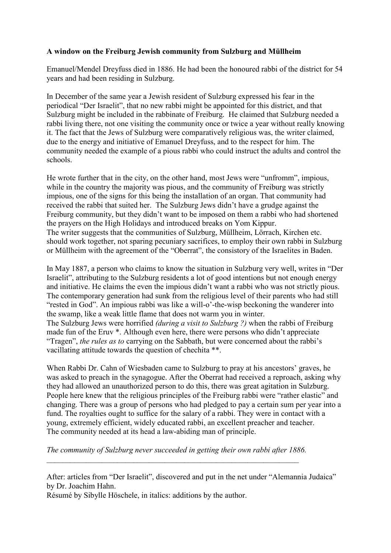## **A window on the Freiburg Jewish community from Sulzburg and Müllheim**

Emanuel/Mendel Dreyfuss died in 1886. He had been the honoured rabbi of the district for 54 years and had been residing in Sulzburg.

In December of the same year a Jewish resident of Sulzburg expressed his fear in the periodical "Der Israelit", that no new rabbi might be appointed for this district, and that Sulzburg might be included in the rabbinate of Freiburg. He claimed that Sulzburg needed a rabbi living there, not one visiting the community once or twice a year without really knowing it. The fact that the Jews of Sulzburg were comparatively religious was, the writer claimed, due to the energy and initiative of Emanuel Dreyfuss, and to the respect for him. The community needed the example of a pious rabbi who could instruct the adults and control the schools.

He wrote further that in the city, on the other hand, most Jews were "unfromm", impious, while in the country the majority was pious, and the community of Freiburg was strictly impious, one of the signs for this being the installation of an organ. That community had received the rabbi that suited her. The Sulzburg Jews didn't have a grudge against the Freiburg community, but they didn't want to be imposed on them a rabbi who had shortened the prayers on the High Holidays and introduced breaks on Yom Kippur. The writer suggests that the communities of Sulzburg, Müllheim, Lörrach, Kirchen etc. should work together, not sparing pecuniary sacrifices, to employ their own rabbi in Sulzburg or Müllheim with the agreement of the "Oberrat", the consistory of the Israelites in Baden.

In May 1887, a person who claims to know the situation in Sulzburg very well, writes in "Der Israelit", attributing to the Sulzburg residents a lot of good intentions but not enough energy and initiative. He claims the even the impious didn't want a rabbi who was not strictly pious. The contemporary generation had sunk from the religious level of their parents who had still "rested in God". An impious rabbi was like a will-o'-the-wisp beckoning the wanderer into the swamp, like a weak little flame that does not warm you in winter. The Sulzburg Jews were horrified *(during a visit to Sulzburg ?)* when the rabbi of Freiburg made fun of the Eruv \*. Although even here, there were persons who didn't appreciate "Tragen", *the rules as to* carrying on the Sabbath, but were concerned about the rabbi's vacillating attitude towards the question of chechita \*\*.

When Rabbi Dr. Cahn of Wiesbaden came to Sulzburg to pray at his ancestors' graves, he was asked to preach in the synagogue. After the Oberrat had received a reproach, asking why they had allowed an unauthorized person to do this, there was great agitation in Sulzburg. People here knew that the religious principles of the Freiburg rabbi were "rather elastic" and changing. There was a group of persons who had pledged to pay a certain sum per year into a fund. The royalties ought to suffice for the salary of a rabbi. They were in contact with a young, extremely efficient, widely educated rabbi, an excellent preacher and teacher. The community needed at its head a law-abiding man of principle.

*The community of Sulzburg never succeeded in getting their own rabbi after 1886.* \_\_\_\_\_\_\_\_\_\_\_\_\_\_\_\_\_\_\_\_\_\_\_\_\_\_\_\_\_\_\_\_\_\_\_\_\_\_\_\_\_\_\_\_\_\_\_\_\_\_\_\_\_\_\_\_\_\_\_\_\_\_\_\_

Résumé by Sibylle Höschele, in italics: additions by the author.

After: articles from "Der Israelit", discovered and put in the net under "Alemannia Judaica" by Dr. Joachim Hahn.